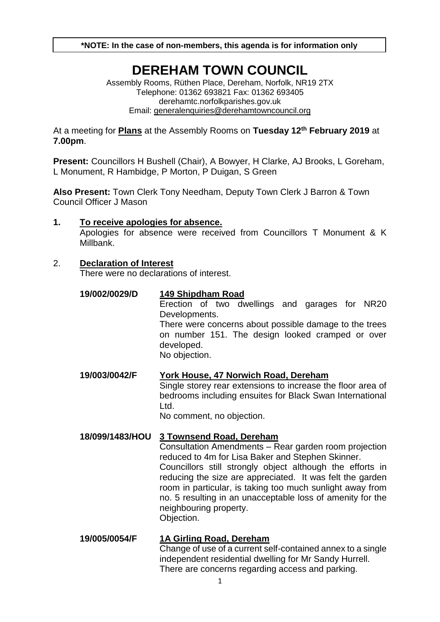**\*NOTE: In the case of non-members, this agenda is for information only**

# **DEREHAM TOWN COUNCIL**

Assembly Rooms, Rüthen Place, Dereham, Norfolk, NR19 2TX Telephone: 01362 693821 Fax: 01362 693405 derehamtc.norfolkparishes.gov.uk Email: [generalenquiries@derehamtowncouncil.org](mailto:generalenquiries@derehamtowncouncil.org)

At a meeting for **Plans** at the Assembly Rooms on **Tuesday 12th February 2019** at **7.00pm**.

**Present:** Councillors H Bushell (Chair), A Bowyer, H Clarke, AJ Brooks, L Goreham, L Monument, R Hambidge, P Morton, P Duigan, S Green

**Also Present:** Town Clerk Tony Needham, Deputy Town Clerk J Barron & Town Council Officer J Mason

### **1. To receive apologies for absence.**

Apologies for absence were received from Councillors T Monument & K Millbank.

#### 2. **Declaration of Interest**

There were no declarations of interest.

#### **19/002/0029/D 149 Shipdham Road**

Erection of two dwellings and garages for NR20 Developments. There were concerns about possible damage to the trees

on number 151. The design looked cramped or over developed.

No objection.

**19/003/0042/F York House, 47 Norwich Road, Dereham**

Single storey rear extensions to increase the floor area of bedrooms including ensuites for Black Swan International Ltd.

No comment, no objection.

### **18/099/1483/HOU 3 Townsend Road, Dereham**

Consultation Amendments – Rear garden room projection reduced to 4m for Lisa Baker and Stephen Skinner. Councillors still strongly object although the efforts in reducing the size are appreciated. It was felt the garden room in particular, is taking too much sunlight away from no. 5 resulting in an unacceptable loss of amenity for the neighbouring property.

Objection.

## **19/005/0054/F 1A Girling Road, Dereham**

Change of use of a current self-contained annex to a single independent residential dwelling for Mr Sandy Hurrell. There are concerns regarding access and parking.